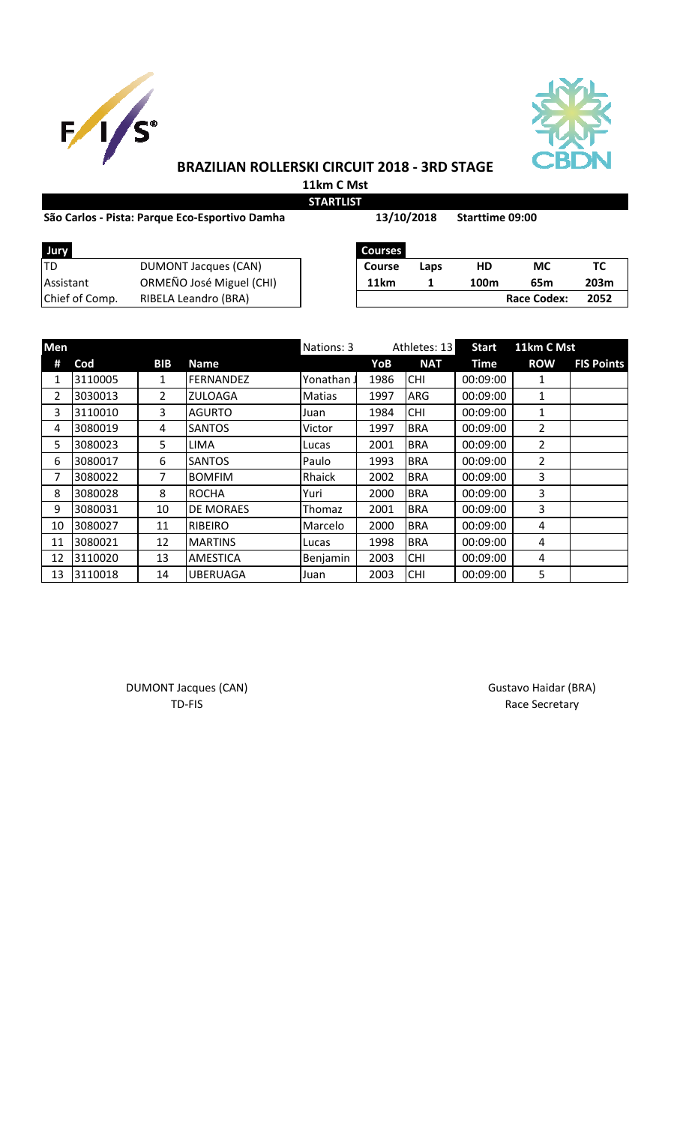



# **BRAZILIAN ROLLERSKI CIRCUIT 2018 - 3RD STAGE**

**11km C Mst STARTLIST**

### São Carlos - Pista: Parque Eco-Esportivo Damha **13/10/2018** Starttime 09:00

**13/10/2018**

| TD<br>DUMONT Jacques (CAN)<br>МC<br>HD<br>Course<br>Laps<br>11km<br>100 <sub>m</sub><br>65m | Jury             |                          | <b>Courses</b> |  |     |
|---------------------------------------------------------------------------------------------|------------------|--------------------------|----------------|--|-----|
|                                                                                             |                  |                          |                |  | тс  |
|                                                                                             | <b>Assistant</b> | ORMEÑO José Miguel (CHI) |                |  | 203 |
| Chief of Comp.<br><b>Race Codex:</b><br>RIBELA Leandro (BRA)                                |                  |                          |                |  | 205 |

| Jury           |                          | <b>Courses</b>   |      |      |             |      |
|----------------|--------------------------|------------------|------|------|-------------|------|
| TD             | DUMONT Jacques (CAN)     | <b>Course</b>    | Laps | HD   | МC          |      |
| Assistant      | ORMEÑO José Miguel (CHI) | 11 <sub>km</sub> |      | 100m | 65m         | 203m |
| Chief of Comp. | RIBELA Leandro (BRA)     |                  |      |      | Race Codex: | 2052 |

| <b>Men</b>     |         |            |                  | Nations: 3 | Athletes: 13 |            | <b>Start</b> | 11km C Mst     |                   |
|----------------|---------|------------|------------------|------------|--------------|------------|--------------|----------------|-------------------|
| #              | Cod     | <b>BIB</b> | <b>Name</b>      |            | YoB          | <b>NAT</b> | Time         | <b>ROW</b>     | <b>FIS Points</b> |
| 1              | 3110005 | 1          | FERNANDEZ        | Yonathan J | 1986         | <b>CHI</b> | 00:09:00     | 1              |                   |
| $\overline{2}$ | 3030013 | 2          | <b>ZULOAGA</b>   | Matias     | 1997         | <b>ARG</b> | 00:09:00     | 1              |                   |
| 3              | 3110010 | 3          | <b>AGURTO</b>    | Juan       | 1984         | <b>CHI</b> | 00:09:00     | 1              |                   |
| 4              | 3080019 | 4          | <b>SANTOS</b>    | Victor     | 1997         | <b>BRA</b> | 00:09:00     | 2              |                   |
| 5              | 3080023 | 5          | <b>LIMA</b>      | Lucas      | 2001         | <b>BRA</b> | 00:09:00     | $\overline{2}$ |                   |
| 6              | 3080017 | 6          | <b>SANTOS</b>    | Paulo      | 1993         | <b>BRA</b> | 00:09:00     | $\overline{2}$ |                   |
| 7              | 3080022 | 7          | <b>BOMFIM</b>    | Rhaick     | 2002         | <b>BRA</b> | 00:09:00     | 3              |                   |
| 8              | 3080028 | 8          | <b>ROCHA</b>     | Yuri       | 2000         | <b>BRA</b> | 00:09:00     | 3              |                   |
| 9              | 3080031 | 10         | <b>DE MORAES</b> | Thomaz     | 2001         | <b>BRA</b> | 00:09:00     | 3              |                   |
| 10             | 3080027 | 11         | <b>RIBEIRO</b>   | Marcelo    | 2000         | <b>BRA</b> | 00:09:00     | 4              |                   |
| 11             | 3080021 | 12         | <b>MARTINS</b>   | Lucas      | 1998         | <b>BRA</b> | 00:09:00     | 4              |                   |
| 12             | 3110020 | 13         | <b>AMESTICA</b>  | Benjamin   | 2003         | <b>CHI</b> | 00:09:00     | 4              |                   |
| 13             | 3110018 | 14         | <b>UBERUAGA</b>  | Juan       | 2003         | <b>CHI</b> | 00:09:00     | 5              |                   |

DUMONT Jacques (CAN) and the contract of the contract of Gustavo Haidar (BRA) and Gustavo Haidar (BRA)

TD-FIS Race Secretary